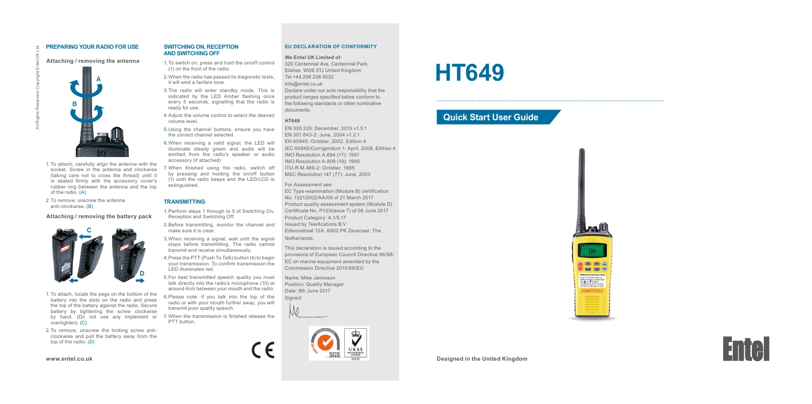### **PREPARING YOUR RADIO FOR USE**

All Rights Reserved. Copyright Entel UK Ltd.

## **Attaching / removing the antenna**

**A**

**AND SWITCHING OFF** 1.To switch on, press and hold the on/off control (1) on the front of the radio.

**SWITCHING ON, RECEPTION**

2. When the radio has passed its diagnostic tests, it will emit a fanfare tone.

- 3.The radio will enter standby mode. This is indicated by the LED Amber flashing once every 5 seconds, signalling that the radio is ready for use.
- 4.Adjust the volume control to select the desired volume level.
- 5.Using the channel buttons, ensure you have the correct channel selected.
- 6.When receiving a valid signal, the LED will illuminate steady green and audio will be emitted from the radio's speaker or audio accessory (if attached)
- 7. When finished using the radio, switch off by pressing and holding the on/off button (1) until the radio beeps and the LED/LCD is extinguished.

#### **TRANSMITTING**

1. Perform steps 1 through to 5 of Switching On, Reception and Switching Off.

- 2.Before transmitting, monitor the channel and make sure it is clear.
- 3.When receiving a signal, wait until the signal stops before transmitting. The radio cannot transmit and receive simultaneously.
- 4.Press the PTT (Push To Talk) button (4) to begin your transmission. To confirm transmission the LED illuminates red.
- 5.For best transmitted speech quality you must talk directly into the radio's microphone (10) at around 4cm between your mouth and the radio.
- 6.Please note: if you talk into the top of the radio or with your mouth further away, you will transmit poor quality speech
- by hand. (Do not use any implement or 7. When the transmission is finished release the PTT button.

 $\in$   $\epsilon$ 

2.To remove, unscrew the locking screw anticlockwise and pull the battery away from the top of the radio. (D)

1.To attach, locate the pegs on the bottom of the battery into the slots on the radio and press the top of the battery against the radio. Secure battery by tightening the screw clockwise

**D**

**Attaching / removing the battery pack**

2.To remove, unscrew the antenna anti-clockwise. (B)

**C**

1.To attach, carefully align the antenna with the socket. Screw in the antenna and clockwise (taking care not to cross the thread) until it is seated firmly with the accessory cover's rubber ring between the antenna and the top

#### **www.entel.co.uk**

overtighten). (C)

of the radio. (A)

**B**

#### **EU DECLARATION OF CONFORMITY**

#### **We Entel UK Limited of:**

320 Centennial Ave, Centennial Park, Elstree. WD6 3TJ United Kingdom Tel +44 208 236 0032 info@entel.co.uk Declare under our sole responsibility that the product ranges specified below conform to the following standards or other nominative documents.

#### **HT649**

EN 300 225: December, 2015 v1.5.1 EN 301 843-2: June, 2004 v1.2.1 EN 60945: October, 2002, Edition 4 IEC 60945/Corrigendum 1: April, 2008, Edition 4 IMO Resolution A.694 (17): 1991 IMO Resolution A.809 (19): 1995 ITU-R M.489-2: October, 1995 MSC Resolution 147 (77): June, 2003

# For Assessment see:

EC Type-examination (Module B) certification No. 13212002/AA/06 of 21 March 2017 Product quality assessment system (Module D) Certificate No. P133(issue 7) of 06 June 2017 Product Category: A.1/5.17 Issued by Telefications B.V Edisonstraat 12A, 6902 PK Zevenaar, The

Netherlands.

This declaration is issued according to the provisions of European Council Directive 96/98/ EC on marine equipment amended by the Commission Directive 2010/68/EU

Name: Mike Jamieson Position: Quality Manager Date: 8th June 2017 Signed:





# **HT649**

## **Quick Start User Guide**



**Designed in the United Kingdom**